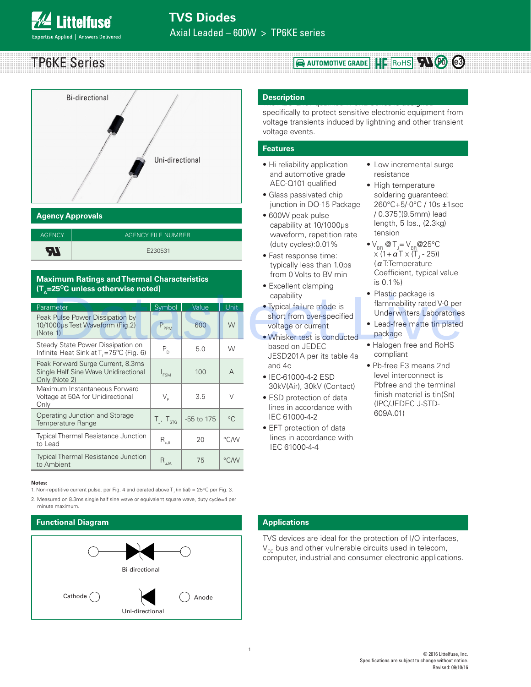TP6KE Series



## **Agency Approvals**

| <b>AGENCY</b> | AGENCY FILE NUMBER |
|---------------|--------------------|
| э             | E230531            |

### **Maximum Ratings and Thermal Characteristics (T<sub>n</sub>=25<sup>o</sup>C unless otherwise noted)**

| $\mathbf{u}$ , $\mathbf{u}$ $\mathbf{v}$ anness otherwise noted;                            |                     |              |                  | capability                                                                                                                        | • Plastic package is                                                                                      |  |  |
|---------------------------------------------------------------------------------------------|---------------------|--------------|------------------|-----------------------------------------------------------------------------------------------------------------------------------|-----------------------------------------------------------------------------------------------------------|--|--|
| Parameter<br>Peak Pulse Power Dissipation by<br>10/1000µs Test Waveform (Fig.2)<br>(Note 1) | Symbol<br>$P_{PPM}$ | Value<br>600 | <b>Unit</b><br>W | • Typical failure mode is<br>short from over-specified<br>voltage or current<br>• Whisker test is conducted                       | flammability rated V-0 per<br><b>Underwriters Laboratories</b><br>• Lead-free matte tin plated<br>package |  |  |
| Steady State Power Dissipation on<br>Infinite Heat Sink at $T_1 = 75^{\circ}C$ (Fig. 6)     | $P_{D}$             | 5.0          | W                | based on JEDEC<br>JESD201A per its table 4a                                                                                       | • Halogen free and RoHS<br>compliant                                                                      |  |  |
| Peak Forward Surge Current, 8.3ms<br>Single Half Sine Wave Unidirectional<br>Only (Note 2)  | $I_{FSM}$           | 100          | $\overline{A}$   | and 4c<br>• IEC-61000-4-2 ESD                                                                                                     | • Pb-free E3 means 2nd<br>level interconnect is                                                           |  |  |
| Maximum Instantaneous Forward<br>Voltage at 50A for Unidirectional<br>Only                  | $V_{E}$             | 3.5          | $\vee$           | Pbfree and the terminal<br>30kV(Air), 30kV (Contact)<br>• ESD protection of data<br>(IPC/JEDEC J-STD-<br>lines in accordance with | finish material is tin(Sn)                                                                                |  |  |
| Operating Junction and Storage<br>Temperature Range                                         | $T_{J}$ , $T_{STG}$ | -55 to 175   | $^{\circ}C$      | IEC 61000-4-2<br>• EFT protection of data                                                                                         | 609A.01)                                                                                                  |  |  |
| <b>Typical Thermal Resistance Junction</b><br>to Lead                                       | $R_{\text{uJL}}$    | 20           | °C/W             | lines in accordance with<br>IEC 61000-4-4                                                                                         |                                                                                                           |  |  |
| <b>Typical Thermal Resistance Junction</b><br>to Ambient                                    | $R_{uJA}$           | 75           | °C/W             |                                                                                                                                   |                                                                                                           |  |  |

#### **Notes:**

1. Non-repetitive current pulse, per Fig. 4 and derated above T<sub>J</sub> (initial) = 25°C per Fig. 3.

2. Measured on 8.3ms single half sine wave or equivalent square wave, duty cycle=4 per minute maximum.

### **Functional Diagram**



#### The AEC-Q101 qualified TP6KE Series is designed **Description**

specifically to protect sensitive electronic equipment from voltage transients induced by lightning and other transient voltage events.

**RAUTOMOTIVE GRADE HIS ROHS TAL @** 

#### **Features**

- Hi reliability application and automotive grade AEC-Q101 qualified
- Glass passivated chip junction in DO-15 Package
- 600W peak pulse capability at 10/1000μs waveform, repetition rate (duty cycles):0.01%
- Fast response time: typically less than 1.0ps from 0 Volts to BV min
- Excellent clamping capability
- Typical failure mode is short from over-specified voltage or current
- Whisker test is conducted based on JEDEC JESD201A per its table 4a and 4c
- IEC-61000-4-2 ESD 30kV(Air), 30kV (Contact)
- ESD protection of data lines in accordance with IEC 61000-4-2
- EFT protection of data lines in accordance with IEC 61000-4-4
- Low incremental surge resistance
- High temperature soldering guaranteed: 260°C+5/-0°C / 10s ±1sec / 0.375",(9.5mm) lead length, 5 lbs., (2.3kg) tension
- $\bullet$  V<sub>BR</sub> @ T<sub>J</sub>= V<sub>BR</sub> @ 25°C x (1+ α T x (T<sub>J</sub> - 25)) (αT:Temperature Coefficient, typical value is 0.1%)
- Plastic package is flammability rated V-0 per Underwriters Laboratories
- Lead-free matte tin plated package
- Halogen free and RoHS compliant
- Pb-free E3 means 2nd level interconnect is Pbfree and the terminal finish material is tin(Sn) (IPC/JEDEC J-STD-609A.01)

### **Applications**

TVS devices are ideal for the protection of I/O interfaces,  $V_{cc}$  bus and other vulnerable circuits used in telecom, computer, industrial and consumer electronic applications.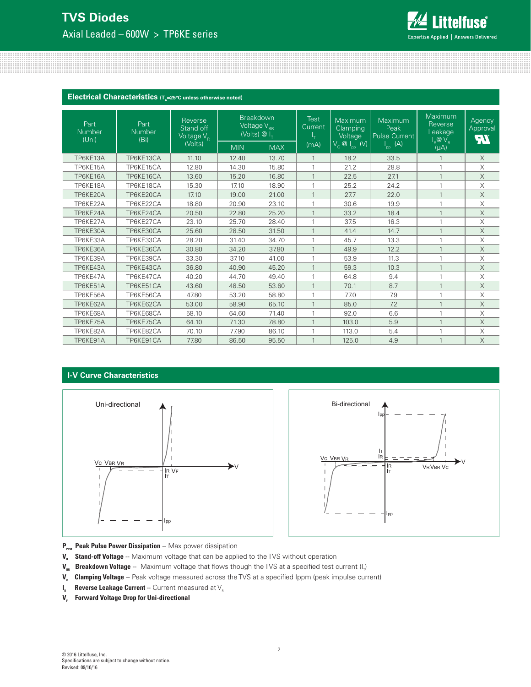# **TVS Diodes** Axial Leaded – 600W > TP6KE series



**Electrical Characteristics** (T<sub>A</sub>=25°C unless otherwise noted)

| Part<br><b>Number</b><br>(Uni) | Part<br><b>Number</b><br>(B <sub>i</sub> ) | Reverse<br>Stand off<br>Voltage $V_{\rm B}$<br>(Volts) |            | <b>Breakdown</b><br>Voltage $\overline{V_{_{\rm BR}}}$<br>(Volts) $\overline{\omega}$ $\overline{I_{\tau}}$ | <b>Test</b><br>Current<br>(mA) | Maximum<br>Clamping<br>Voltage<br>$V_c$ $\overline{\omega}$ $\vert_{\text{pp}}$ (V) | Maximum<br>Peak<br><b>Pulse Current</b><br>(A) | Maximum<br>Reverse<br>Leakage<br>I <sub>R</sub> @V <sub>R</sub><br>(µA) | Agency<br>Approval<br>FW |
|--------------------------------|--------------------------------------------|--------------------------------------------------------|------------|-------------------------------------------------------------------------------------------------------------|--------------------------------|-------------------------------------------------------------------------------------|------------------------------------------------|-------------------------------------------------------------------------|--------------------------|
|                                |                                            |                                                        | <b>MIN</b> | <b>MAX</b>                                                                                                  |                                |                                                                                     | $\mathsf{l}_{\mathsf{op}}$ .                   |                                                                         |                          |
| TP6KE13A                       | TP6KE13CA                                  | 11.10                                                  | 12.40      | 13.70                                                                                                       | $\mathbf{1}$                   | 18.2                                                                                | 33.5                                           | $\mathbf{1}$                                                            | $\times$                 |
| TP6KE15A                       | TP6KE15CA                                  | 12.80                                                  | 14.30      | 15.80                                                                                                       |                                | 21.2                                                                                | 28.8                                           | $\mathbf{1}$                                                            | X                        |
| TP6KE16A                       | TP6KE16CA                                  | 13.60                                                  | 15.20      | 16.80                                                                                                       |                                | 22.5                                                                                | 27.1                                           | $\mathbf{1}$                                                            | X                        |
| TP6KE18A                       | TP6KE18CA                                  | 15.30                                                  | 17.10      | 18.90                                                                                                       |                                | 25.2                                                                                | 24.2                                           | $\mathbf{1}$                                                            | X                        |
| TP6KE20A                       | TP6KE20CA                                  | 17.10                                                  | 19.00      | 21.00                                                                                                       |                                | 27.7                                                                                | 22.0                                           | $\mathbf{1}$                                                            | $\times$                 |
| TP6KE22A                       | TP6KE22CA                                  | 18.80                                                  | 20.90      | 23.10                                                                                                       | 1                              | 30.6                                                                                | 19.9                                           | $\mathbf{1}$                                                            | X                        |
| TP6KE24A                       | TP6KE24CA                                  | 20.50                                                  | 22.80      | 25.20                                                                                                       | $\mathbf{1}$                   | 33.2                                                                                | 18.4                                           | $\mathbf{1}$                                                            | X                        |
| TP6KE27A                       | TP6KE27CA                                  | 23.10                                                  | 25.70      | 28.40                                                                                                       | $\mathbf{1}$                   | 37.5                                                                                | 16.3                                           | 1                                                                       | X                        |
| TP6KE30A                       | TP6KE30CA                                  | 25.60                                                  | 28.50      | 31.50                                                                                                       |                                | 41.4                                                                                | 14.7                                           | $\overline{1}$                                                          | X                        |
| TP6KE33A                       | TP6KE33CA                                  | 28.20                                                  | 31.40      | 34.70                                                                                                       |                                | 45.7                                                                                | 13.3                                           | $\mathbf{1}$                                                            | X                        |
| TP6KE36A                       | TP6KE36CA                                  | 30.80                                                  | 34.20      | 37.80                                                                                                       |                                | 49.9                                                                                | 12.2                                           | $\mathbf{1}$                                                            | X                        |
| TP6KE39A                       | TP6KE39CA                                  | 33.30                                                  | 37.10      | 41.00                                                                                                       | 1                              | 53.9                                                                                | 11.3                                           | 1                                                                       | X                        |
| TP6KE43A                       | TP6KE43CA                                  | 36.80                                                  | 40.90      | 45.20                                                                                                       |                                | 59.3                                                                                | 10.3                                           | $\mathbf{1}$                                                            | X                        |
| TP6KE47A                       | TP6KE47CA                                  | 40.20                                                  | 44.70      | 49.40                                                                                                       | $\overline{1}$                 | 64.8                                                                                | 9.4                                            | 1                                                                       | X                        |
| TP6KE51A                       | TP6KE51CA                                  | 43.60                                                  | 48.50      | 53.60                                                                                                       | $\mathbf{1}$                   | 70.1                                                                                | 8.7                                            | $\mathbf{1}$                                                            | X                        |
| TP6KE56A                       | TP6KE56CA                                  | 47.80                                                  | 53.20      | 58.80                                                                                                       |                                | 77.0                                                                                | 7.9                                            | $\mathbf{1}$                                                            | X                        |
| TP6KE62A                       | TP6KE62CA                                  | 53.00                                                  | 58.90      | 65.10                                                                                                       |                                | 85.0                                                                                | 7.2                                            | $\mathbf{1}$                                                            | X                        |
| TP6KE68A                       | TP6KE68CA                                  | 58.10                                                  | 64.60      | 71.40                                                                                                       |                                | 92.0                                                                                | 6.6                                            | $\mathbf{1}$                                                            | X                        |
| TP6KE75A                       | TP6KE75CA                                  | 64.10                                                  | 71.30      | 78.80                                                                                                       | $\mathbf{1}$                   | 103.0                                                                               | 5.9                                            | $\mathbf{1}$                                                            | $\times$                 |
| TP6KE82A                       | TP6KE82CA                                  | 70.10                                                  | 77.90      | 86.10                                                                                                       |                                | 113.0                                                                               | 5.4                                            | $\overline{1}$                                                          | X                        |
| TP6KE91A                       | TP6KE91CA                                  | 77.80                                                  | 86.50      | 95.50                                                                                                       |                                | 125.0                                                                               | 4.9                                            | $\mathbf{1}$                                                            | X                        |

## **I-V Curve Characteristics**





- P<sub>PPM</sub> Peak Pulse Power Dissipation -- Max power dissipation
- **V<sub>R</sub>** Stand-off Voltage -- Maximum voltage that can be applied to the TVS without operation
- $\bm V_{\rm ss}$  **Breakdown Voltage** -- Maximum voltage that flows though the TVS at a specified test current (I<sub>r</sub>)
- V<sub>c</sub> Clamping Voltage -- Peak voltage measured across the TVS at a specified Ippm (peak impulse current)
- $I_{R}$  **Reverse Leakage Current** -- Current measured at  $V_{R}$
- **V<sub>F</sub>** Forward Voltage Drop for Uni-directional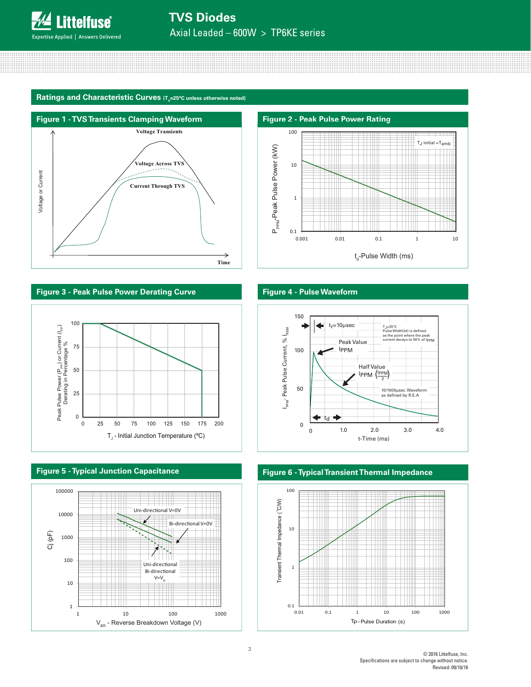**TVS Diodes**

Axial Leaded – 600W > TP6KE series

#### Ratings and Characteristic Curves (T<sub>A</sub>=25°C unless otherwise noted)





# **Figure 3 - Peak Pulse Power Derating Curve Figure 4 - Pulse Waveform**



![](_page_2_Figure_9.jpeg)

![](_page_2_Figure_11.jpeg)

![](_page_2_Figure_13.jpeg)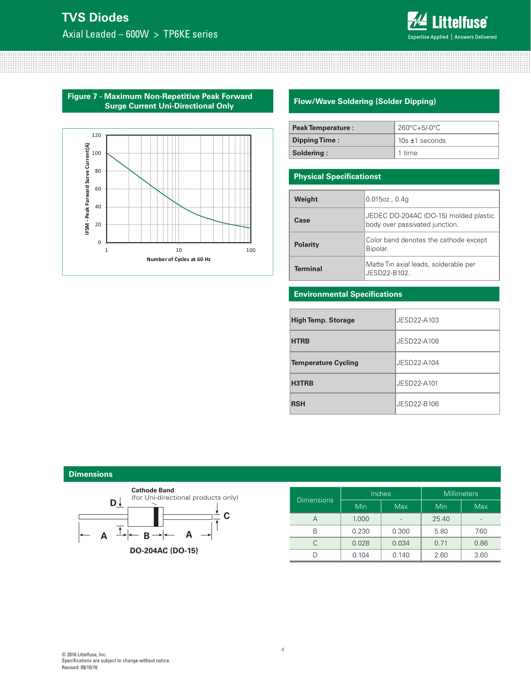# **TVS Diodes**

Axial Leaded – 600W > TP6KE series

![](_page_3_Picture_2.jpeg)

**Figure 7 - Maximum Non-Repetitive Peak Forward Surge Current Uni-Directional Only**

![](_page_3_Figure_4.jpeg)

# **Flow/Wave Soldering (Solder Dipping)**

| Peak Temperature :   | $260^{\circ}$ C+5/-0 $^{\circ}$ C |
|----------------------|-----------------------------------|
| <b>Dipping Time:</b> | $10s \pm 1$ seconds               |
| Soldering:           | 1 time                            |

## **Physical Specificationst**

| Weight          | $0.015$ oz., $0.4g$                                                     |
|-----------------|-------------------------------------------------------------------------|
| Case            | JEDEC DO-204AC (DO-15) molded plastic<br>body over passivated junction. |
| <b>Polarity</b> | Color band denotes the cathode except<br>Bipolar.                       |
| Terminal        | Matte Tin axial leads, solderable per<br>JESD22-B102.                   |

### **Environmental Specifications**

| <b>High Temp. Storage</b>  | JESD22-A103 |
|----------------------------|-------------|
| <b>HTRB</b>                | JESD22-A108 |
| <b>Temperature Cycling</b> | JFSD22-A104 |
| H3TRB                      | JESD22-A101 |
| <b>RSH</b>                 | JESD22-B106 |

#### **Dimensions**

![](_page_3_Figure_12.jpeg)

| <b>Dimensions</b> |       | Inches     | Millimeters |            |
|-------------------|-------|------------|-------------|------------|
|                   | Min   | <b>Max</b> | Min         | <b>Max</b> |
| А                 | 1.000 |            | 25.40       |            |
| B                 | 0.230 | 0.300      | 5.80        | 7.60       |
|                   | 0.028 | 0.034      | 0.71        | 0.86       |
|                   | 0.104 | 0.140      | 2.60        | 3.60       |